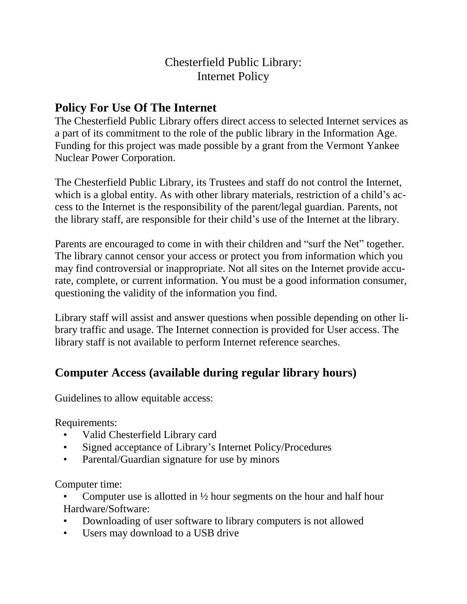## Chesterfield Public Library: Internet Policy

## **Policy For Use Of The Internet**

The Chesterfield Public Library offers direct access to selected Internet services as a part of its commitment to the role of the public library in the Information Age. Funding for this project was made possible by a grant from the Vermont Yankee Nuclear Power Corporation.

The Chesterfield Public Library, its Trustees and staff do not control the Internet, which is a global entity. As with other library materials, restriction of a child's access to the Internet is the responsibility of the parent/legal guardian. Parents, not the library staff, are responsible for their child's use of the Internet at the library.

Parents are encouraged to come in with their children and "surf the Net" together. The library cannot censor your access or protect you from information which you may find controversial or inappropriate. Not all sites on the Internet provide accurate, complete, or current information. You must be a good information consumer, questioning the validity of the information you find.

Library staff will assist and answer questions when possible depending on other library traffic and usage. The Internet connection is provided for User access. The library staff is not available to perform Internet reference searches.

## **Computer Access (available during regular library hours)**

Guidelines to allow equitable access:

Requirements:

- Valid Chesterfield Library card
- Signed acceptance of Library's Internet Policy/Procedures
- Parental/Guardian signature for use by minors

Computer time:

Computer use is allotted in  $\frac{1}{2}$  hour segments on the hour and half hour Hardware/Software:

- Downloading of user software to library computers is not allowed
- Users may download to a USB drive